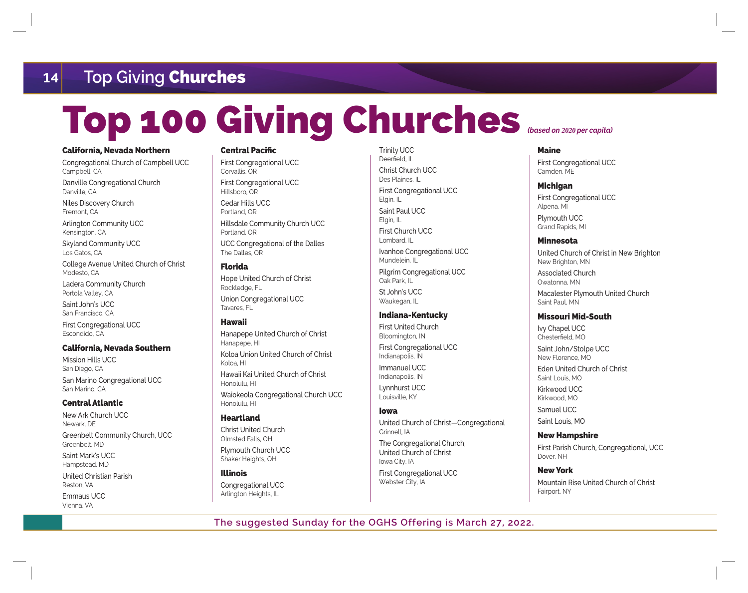## **14 Top Giving** Churches

# Top 100 Giving Churches *(based on* **2020** *per capita)*

#### California, Nevada Northern

Congregational Church of Campbell UCC Campbell, CA Danville Congregational Church Danville, CA

Niles Discovery Church Fremont, CA

Arlington Community UCC Kensington, CA

Skyland Community UCC Los Gatos, CA

College Avenue United Church of Christ Modesto, CA

Ladera Community Church Portola Valley, CA

Saint John's UCC San Francisco, CA

First Congregational UCC Escondido, CA

#### California, Nevada Southern

Mission Hills UCC San Diego, CA San Marino Congregational UCC San Marino, CA

#### Central Atlantic

New Ark Church UCC Newark, DE Greenbelt Community Church, UCC Greenbelt, MD

Saint Mark's UCC Hampstead, MD

United Christian Parish Reston, VA

Emmaus UCC Vienna, VA

### Central Pacific

First Congregational UCC Corvallis, OR First Congregational UCC Hillsboro, OR Cedar Hills UCC Portland, OR Hillsdale Community Church UCC Portland, OR UCC Congregational of the Dalles The Dalles, OR

#### Florida

Hope United Church of Christ Rockledge, FL Union Congregational UCC Tavares, FL

#### Hawaii

Hanapepe United Church of Christ Hanapepe, HI Koloa Union United Church of Christ Koloa, HI Hawaii Kai United Church of Christ Honolulu, HI Waiokeola Congregational Church UCC Honolulu, HI

#### Heartland

Christ United Church Olmsted Falls, OH Plymouth Church UCC

Illinois

Congregational UCC Arlington Heights, IL

Shaker Heights, OH

Trinity UCC Deerfield, IL Christ Church UCC Des Plaines, IL First Congregational UCC Elgin, IL Saint Paul UCC Elgin, IL First Church UCC Lombard, IL Ivanhoe Congregational UCC Mundelein, IL Pilgrim Congregational UCC Oak Park, IL St John's UCC Waukegan, IL

#### Indiana-Kentucky

First United Church Bloomington, IN First Congregational UCC Indianapolis, IN

Immanuel UCC Indianapolis, IN Lynnhurst UCC

Louisville, KY

#### Iowa

United Church of Christ—Congregational Grinnell, IA The Congregational Church,

United Church of Christ Iowa City, IA First Congregational UCC Webster City, IA

#### Maine

First Congregational UCC Camden, ME

#### **Michigan**

First Congregational UCC Alpena, MI Plymouth UCC Grand Rapids, MI

#### Minnesota

United Church of Christ in New Brighton New Brighton, MN Associated Church Owatonna, MN Macalester Plymouth United Church Saint Paul, MN

#### Missouri Mid-South

Ivy Chapel UCC Chesterfield, MO

Saint John/Stolpe UCC New Florence, MO Eden United Church of Christ Saint Louis, MO Kirkwood UCC

Kirkwood, MO Samuel UCC

Saint Louis, MO

#### New Hampshire

First Parish Church, Congregational, UCC Dover, NH

#### New York

Mountain Rise United Church of Christ Fairport, NY

**The suggested Sunday for the OGHS Offering is March 27, 2022.**